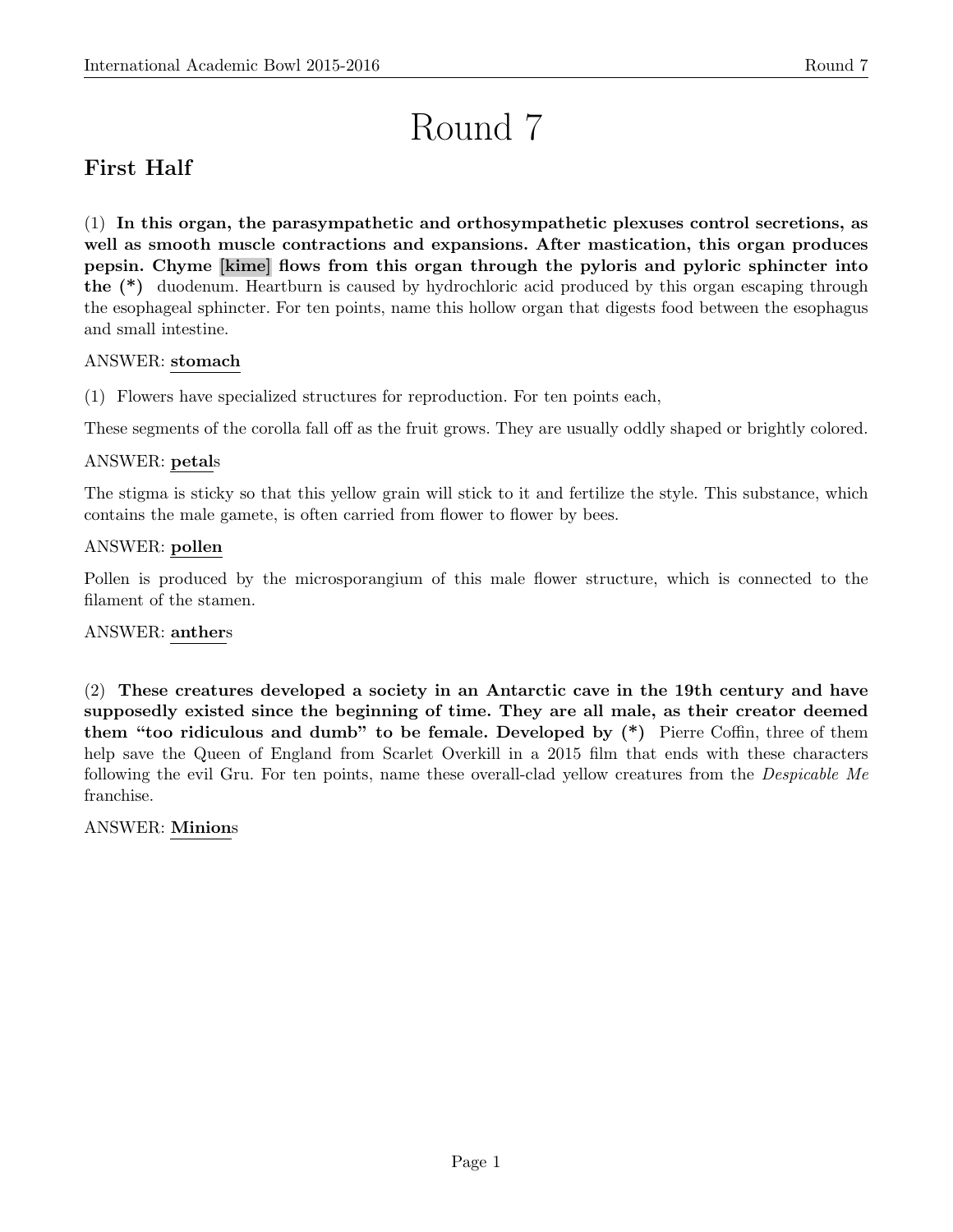# Round 7

# First Half

(1) In this organ, the parasympathetic and orthosympathetic plexuses control secretions, as well as smooth muscle contractions and expansions. After mastication, this organ produces pepsin. Chyme [kime] flows from this organ through the pyloris and pyloric sphincter into the (\*) duodenum. Heartburn is caused by hydrochloric acid produced by this organ escaping through the esophageal sphincter. For ten points, name this hollow organ that digests food between the esophagus and small intestine.

# ANSWER: stomach

(1) Flowers have specialized structures for reproduction. For ten points each,

These segments of the corolla fall off as the fruit grows. They are usually oddly shaped or brightly colored.

# ANSWER: petals

The stigma is sticky so that this yellow grain will stick to it and fertilize the style. This substance, which contains the male gamete, is often carried from flower to flower by bees.

# ANSWER: pollen

Pollen is produced by the microsporangium of this male flower structure, which is connected to the filament of the stamen.

# ANSWER: anthers

(2) These creatures developed a society in an Antarctic cave in the 19th century and have supposedly existed since the beginning of time. They are all male, as their creator deemed them "too ridiculous and dumb" to be female. Developed by (\*) Pierre Coffin, three of them help save the Queen of England from Scarlet Overkill in a 2015 film that ends with these characters following the evil Gru. For ten points, name these overall-clad yellow creatures from the Despicable Me franchise.

# ANSWER: Minions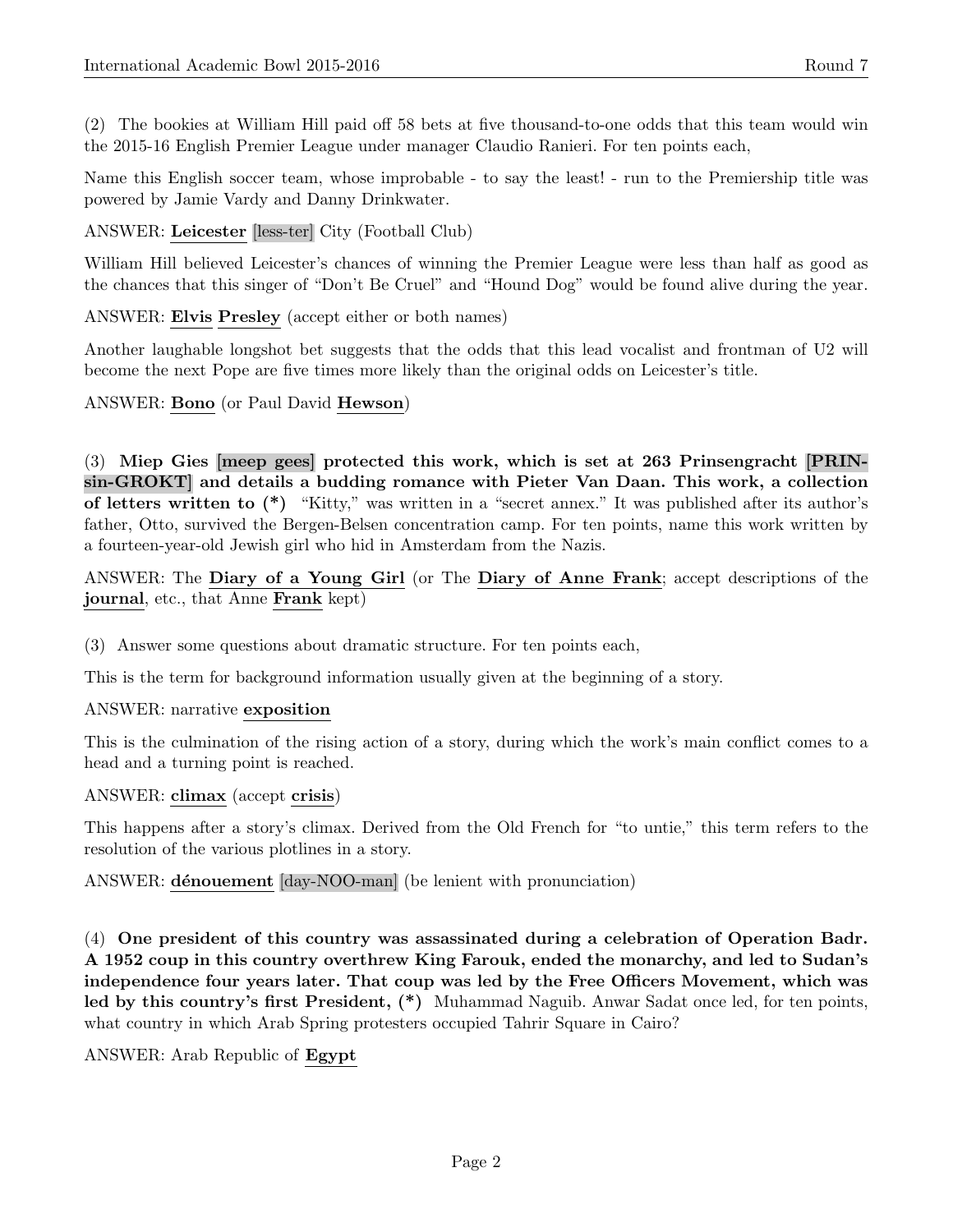(2) The bookies at William Hill paid off 58 bets at five thousand-to-one odds that this team would win the 2015-16 English Premier League under manager Claudio Ranieri. For ten points each,

Name this English soccer team, whose improbable - to say the least! - run to the Premiership title was powered by Jamie Vardy and Danny Drinkwater.

ANSWER: Leicester [less-ter] City (Football Club)

William Hill believed Leicester's chances of winning the Premier League were less than half as good as the chances that this singer of "Don't Be Cruel" and "Hound Dog" would be found alive during the year.

ANSWER: Elvis Presley (accept either or both names)

Another laughable longshot bet suggests that the odds that this lead vocalist and frontman of U2 will become the next Pope are five times more likely than the original odds on Leicester's title.

ANSWER: Bono (or Paul David Hewson)

(3) Miep Gies [meep gees] protected this work, which is set at 263 Prinsengracht [PRINsin-GROKT] and details a budding romance with Pieter Van Daan. This work, a collection of letters written to (\*) "Kitty," was written in a "secret annex." It was published after its author's father, Otto, survived the Bergen-Belsen concentration camp. For ten points, name this work written by a fourteen-year-old Jewish girl who hid in Amsterdam from the Nazis.

ANSWER: The Diary of a Young Girl (or The Diary of Anne Frank; accept descriptions of the journal, etc., that Anne Frank kept)

(3) Answer some questions about dramatic structure. For ten points each,

This is the term for background information usually given at the beginning of a story.

#### ANSWER: narrative exposition

This is the culmination of the rising action of a story, during which the work's main conflict comes to a head and a turning point is reached.

ANSWER: climax (accept crisis)

This happens after a story's climax. Derived from the Old French for "to untie," this term refers to the resolution of the various plotlines in a story.

ANSWER: dénouement [day-NOO-man] (be lenient with pronunciation)

(4) One president of this country was assassinated during a celebration of Operation Badr. A 1952 coup in this country overthrew King Farouk, ended the monarchy, and led to Sudan's independence four years later. That coup was led by the Free Officers Movement, which was led by this country's first President, (\*) Muhammad Naguib. Anwar Sadat once led, for ten points, what country in which Arab Spring protesters occupied Tahrir Square in Cairo?

ANSWER: Arab Republic of Egypt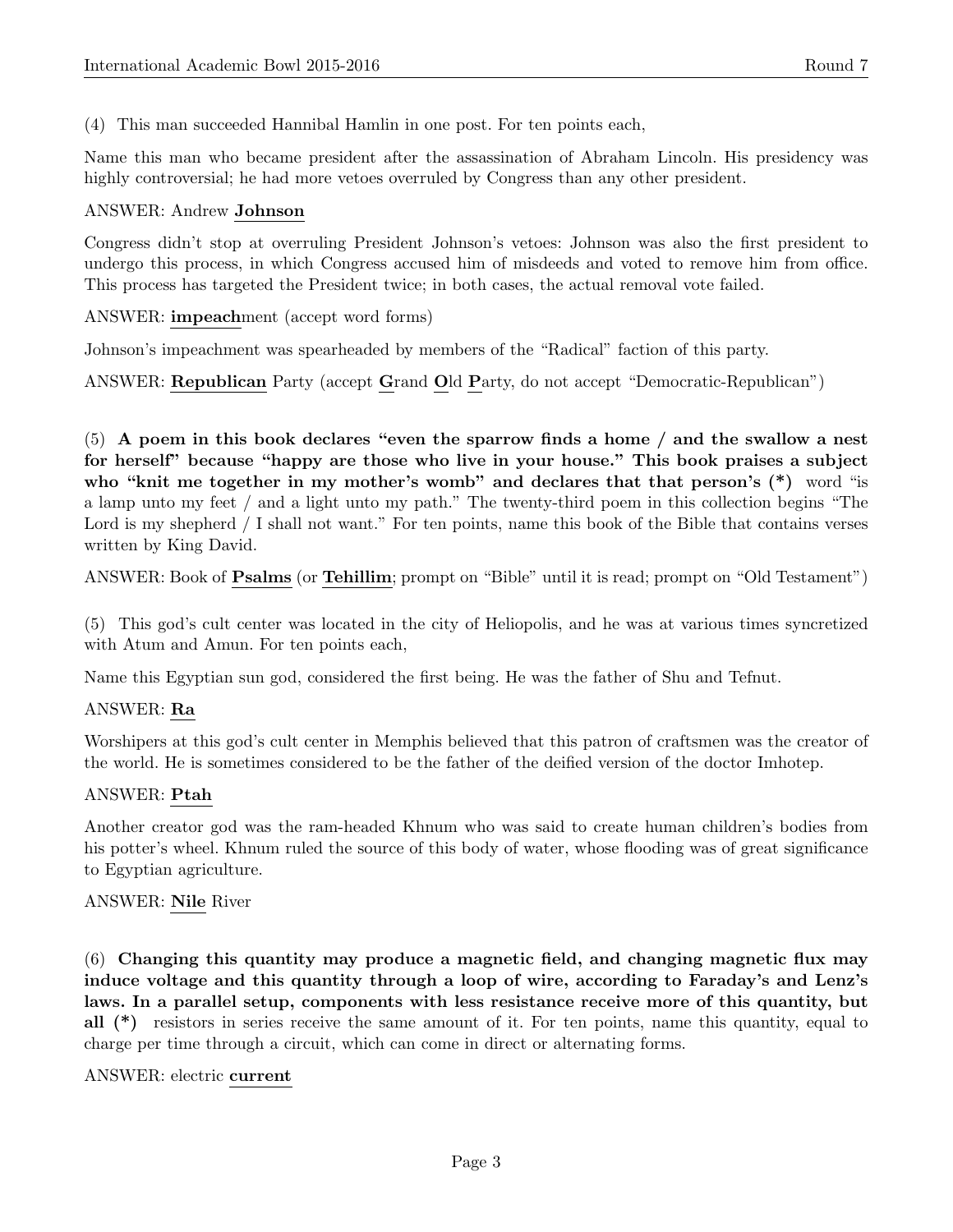(4) This man succeeded Hannibal Hamlin in one post. For ten points each,

Name this man who became president after the assassination of Abraham Lincoln. His presidency was highly controversial; he had more vetoes overruled by Congress than any other president.

#### ANSWER: Andrew Johnson

Congress didn't stop at overruling President Johnson's vetoes: Johnson was also the first president to undergo this process, in which Congress accused him of misdeeds and voted to remove him from office. This process has targeted the President twice; in both cases, the actual removal vote failed.

ANSWER: impeachment (accept word forms)

Johnson's impeachment was spearheaded by members of the "Radical" faction of this party.

ANSWER: Republican Party (accept Grand Old Party, do not accept "Democratic-Republican")

(5) A poem in this book declares "even the sparrow finds a home / and the swallow a nest for herself" because "happy are those who live in your house." This book praises a subject who "knit me together in my mother's womb" and declares that that person's  $(*)$  word "is a lamp unto my feet / and a light unto my path." The twenty-third poem in this collection begins "The Lord is my shepherd / I shall not want." For ten points, name this book of the Bible that contains verses written by King David.

ANSWER: Book of Psalms (or Tehillim; prompt on "Bible" until it is read; prompt on "Old Testament")

(5) This god's cult center was located in the city of Heliopolis, and he was at various times syncretized with Atum and Amun. For ten points each,

Name this Egyptian sun god, considered the first being. He was the father of Shu and Tefnut.

# ANSWER: Ra

Worshipers at this god's cult center in Memphis believed that this patron of craftsmen was the creator of the world. He is sometimes considered to be the father of the deified version of the doctor Imhotep.

# ANSWER: Ptah

Another creator god was the ram-headed Khnum who was said to create human children's bodies from his potter's wheel. Khnum ruled the source of this body of water, whose flooding was of great significance to Egyptian agriculture.

#### ANSWER: Nile River

(6) Changing this quantity may produce a magnetic field, and changing magnetic flux may induce voltage and this quantity through a loop of wire, according to Faraday's and Lenz's laws. In a parallel setup, components with less resistance receive more of this quantity, but all (\*) resistors in series receive the same amount of it. For ten points, name this quantity, equal to charge per time through a circuit, which can come in direct or alternating forms.

#### ANSWER: electric current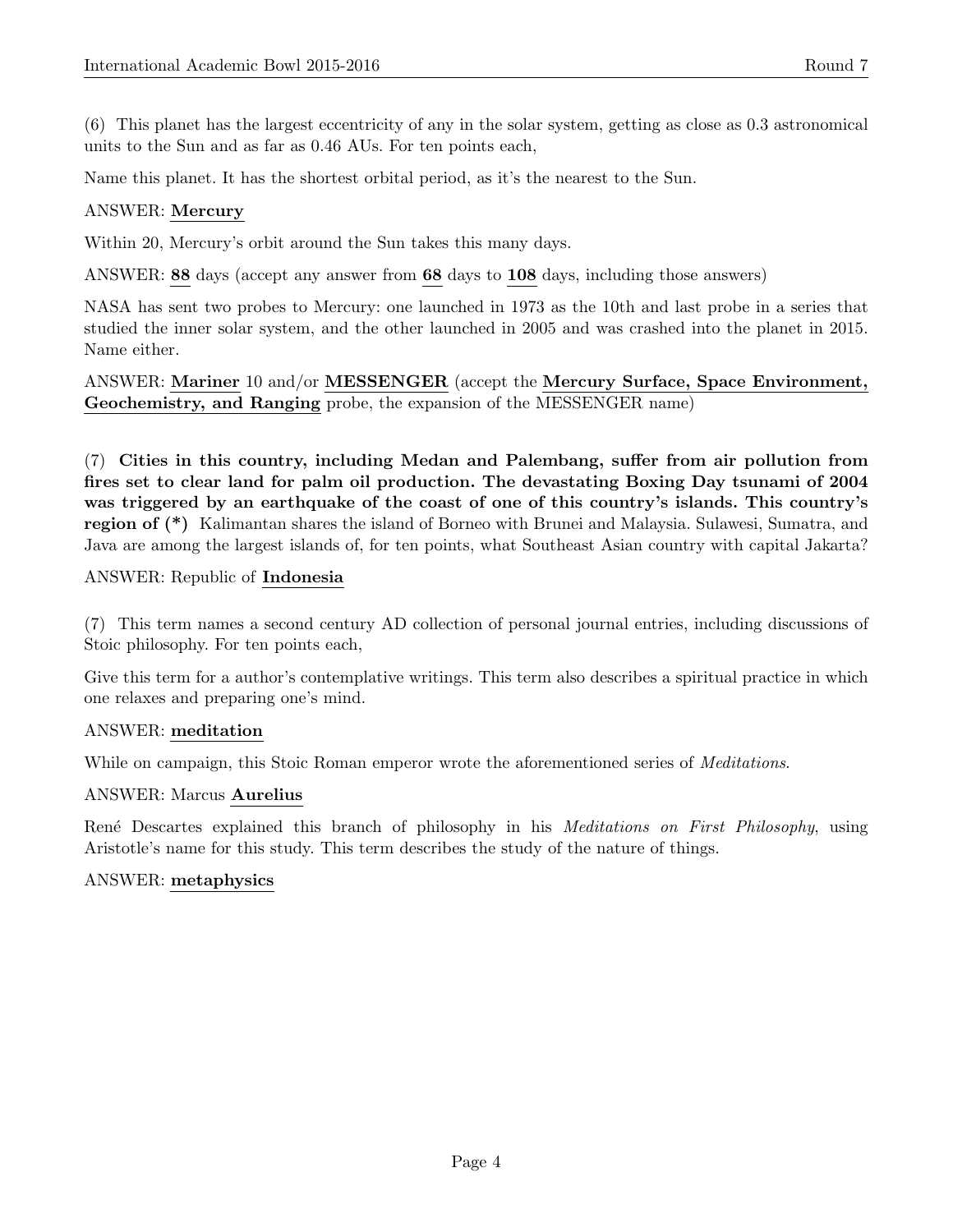(6) This planet has the largest eccentricity of any in the solar system, getting as close as 0.3 astronomical units to the Sun and as far as 0.46 AUs. For ten points each,

Name this planet. It has the shortest orbital period, as it's the nearest to the Sun.

# ANSWER: Mercury

Within 20, Mercury's orbit around the Sun takes this many days.

ANSWER: 88 days (accept any answer from 68 days to 108 days, including those answers)

NASA has sent two probes to Mercury: one launched in 1973 as the 10th and last probe in a series that studied the inner solar system, and the other launched in 2005 and was crashed into the planet in 2015. Name either.

ANSWER: Mariner 10 and/or MESSENGER (accept the Mercury Surface, Space Environment, Geochemistry, and Ranging probe, the expansion of the MESSENGER name)

(7) Cities in this country, including Medan and Palembang, suffer from air pollution from fires set to clear land for palm oil production. The devastating Boxing Day tsunami of 2004 was triggered by an earthquake of the coast of one of this country's islands. This country's region of (\*) Kalimantan shares the island of Borneo with Brunei and Malaysia. Sulawesi, Sumatra, and Java are among the largest islands of, for ten points, what Southeast Asian country with capital Jakarta?

# ANSWER: Republic of Indonesia

(7) This term names a second century AD collection of personal journal entries, including discussions of Stoic philosophy. For ten points each,

Give this term for a author's contemplative writings. This term also describes a spiritual practice in which one relaxes and preparing one's mind.

# ANSWER: meditation

While on campaign, this Stoic Roman emperor wrote the aforementioned series of *Meditations*.

# ANSWER: Marcus Aurelius

René Descartes explained this branch of philosophy in his *Meditations on First Philosophy*, using Aristotle's name for this study. This term describes the study of the nature of things.

# ANSWER: metaphysics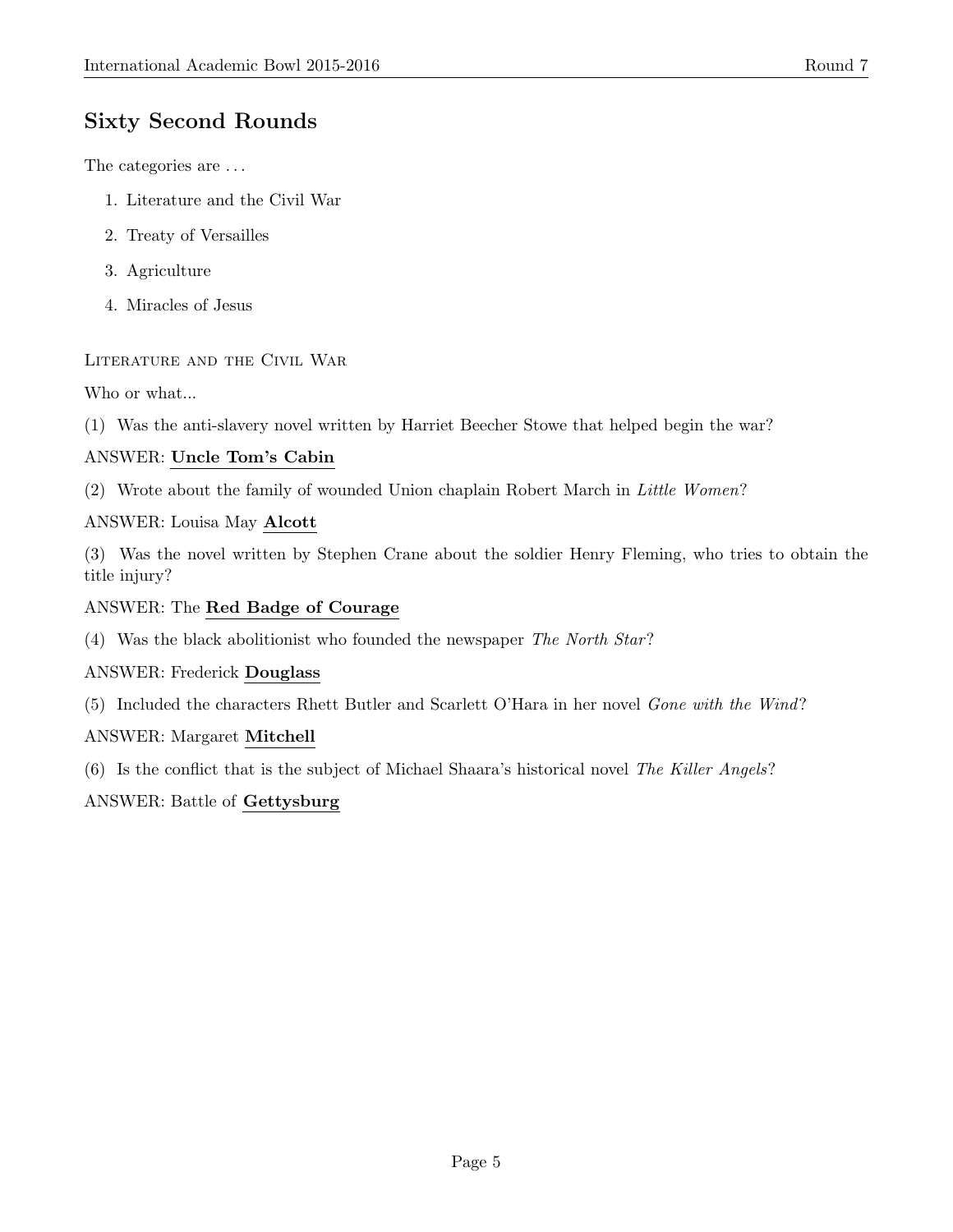# Sixty Second Rounds

The categories are . . .

- 1. Literature and the Civil War
- 2. Treaty of Versailles
- 3. Agriculture
- 4. Miracles of Jesus

# Literature and the Civil War

Who or what...

(1) Was the anti-slavery novel written by Harriet Beecher Stowe that helped begin the war?

# ANSWER: Uncle Tom's Cabin

(2) Wrote about the family of wounded Union chaplain Robert March in Little Women?

# ANSWER: Louisa May Alcott

(3) Was the novel written by Stephen Crane about the soldier Henry Fleming, who tries to obtain the title injury?

# ANSWER: The Red Badge of Courage

(4) Was the black abolitionist who founded the newspaper The North Star?

# ANSWER: Frederick Douglass

(5) Included the characters Rhett Butler and Scarlett O'Hara in her novel Gone with the Wind?

# ANSWER: Margaret Mitchell

(6) Is the conflict that is the subject of Michael Shaara's historical novel The Killer Angels?

# ANSWER: Battle of Gettysburg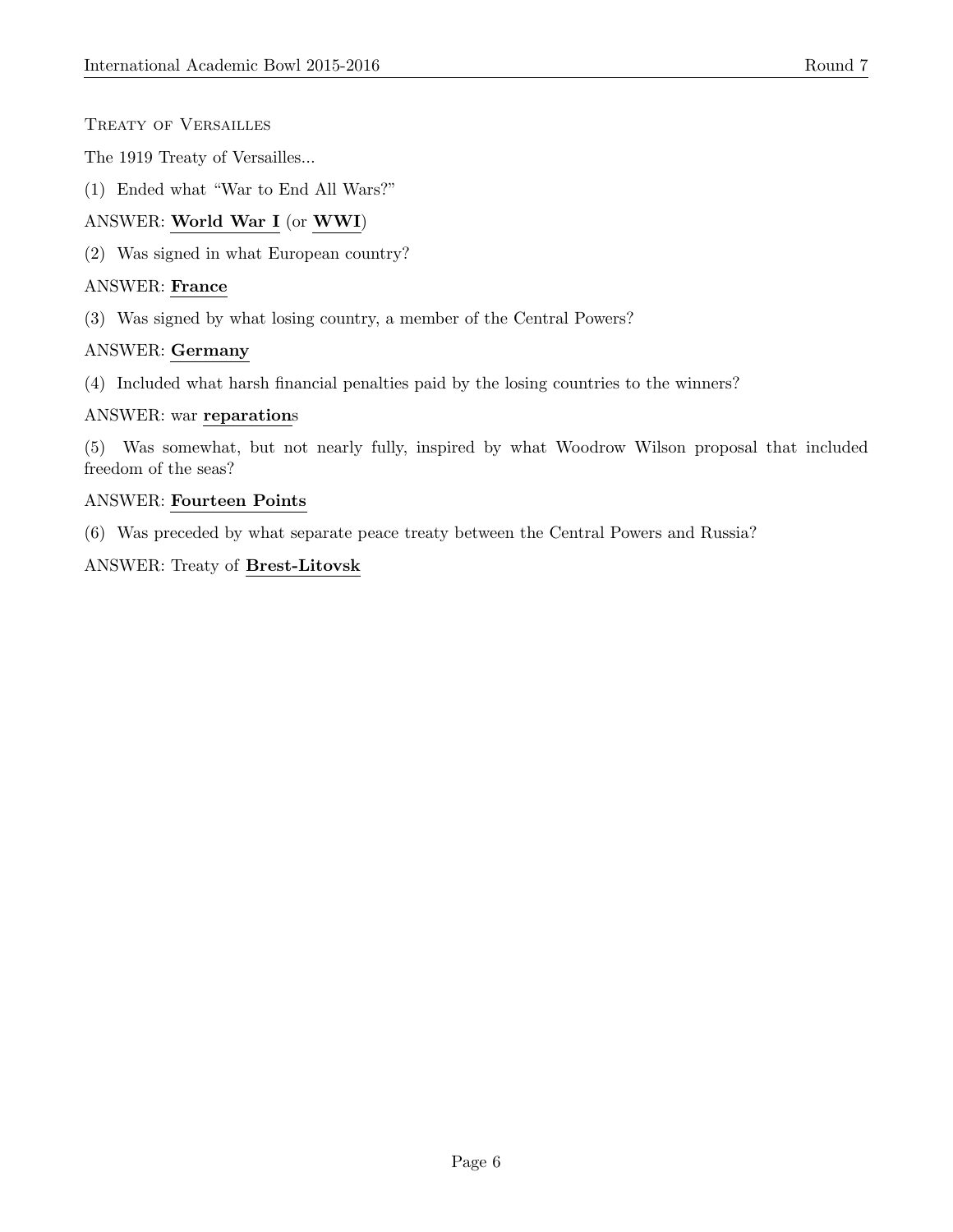- Treaty of Versailles
- The 1919 Treaty of Versailles...
- (1) Ended what "War to End All Wars?"

# ANSWER: World War I (or WWI)

(2) Was signed in what European country?

#### ANSWER: France

(3) Was signed by what losing country, a member of the Central Powers?

# ANSWER: Germany

(4) Included what harsh financial penalties paid by the losing countries to the winners?

#### ANSWER: war reparations

(5) Was somewhat, but not nearly fully, inspired by what Woodrow Wilson proposal that included freedom of the seas?

#### ANSWER: Fourteen Points

(6) Was preceded by what separate peace treaty between the Central Powers and Russia?

ANSWER: Treaty of Brest-Litovsk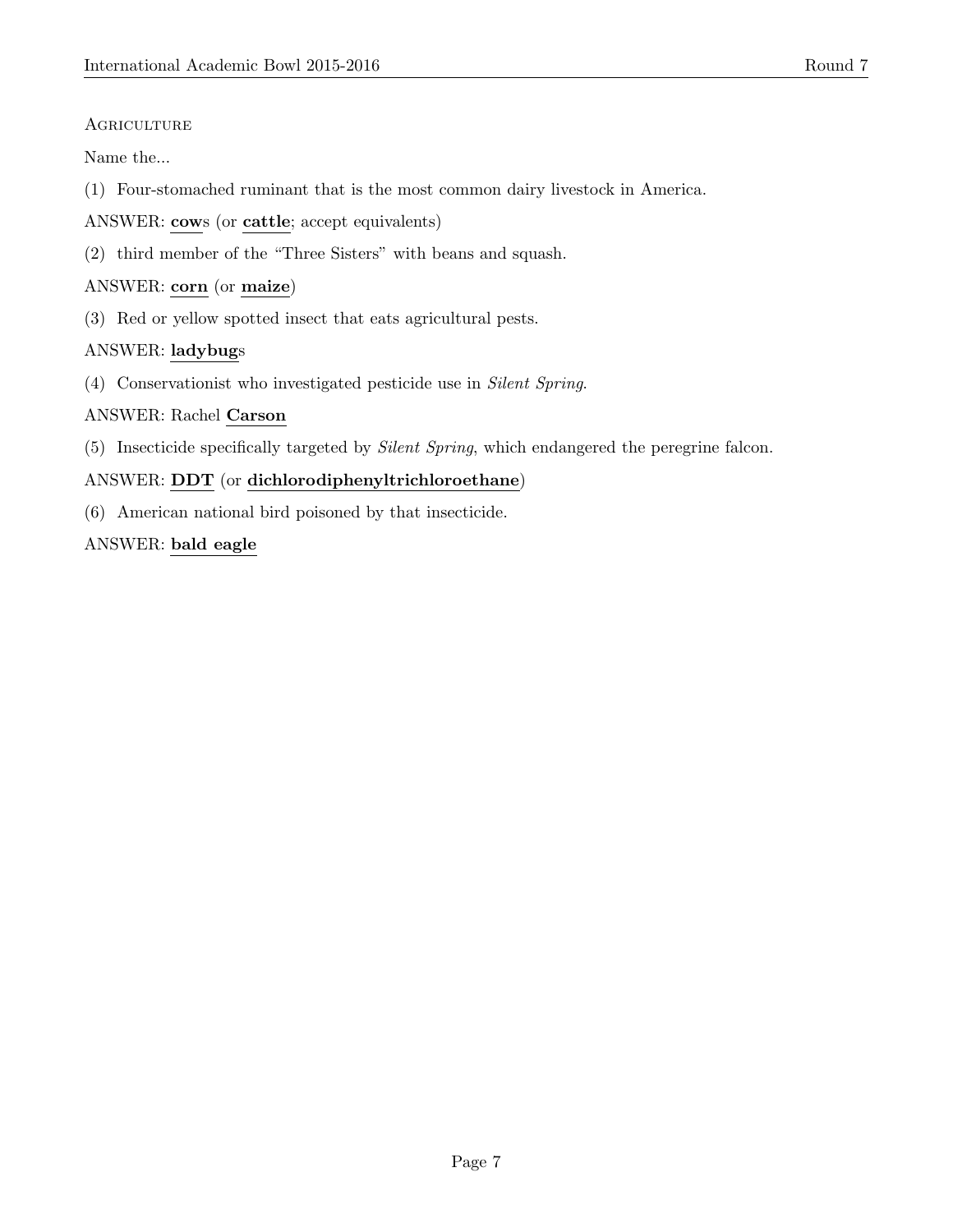# **AGRICULTURE**

Name the...

(1) Four-stomached ruminant that is the most common dairy livestock in America.

ANSWER: cows (or cattle; accept equivalents)

(2) third member of the "Three Sisters" with beans and squash.

# ANSWER: corn (or maize)

(3) Red or yellow spotted insect that eats agricultural pests.

# ANSWER: ladybugs

(4) Conservationist who investigated pesticide use in Silent Spring.

# ANSWER: Rachel Carson

(5) Insecticide specifically targeted by Silent Spring, which endangered the peregrine falcon.

# ANSWER: DDT (or dichlorodiphenyltrichloroethane)

(6) American national bird poisoned by that insecticide.

# ANSWER: bald eagle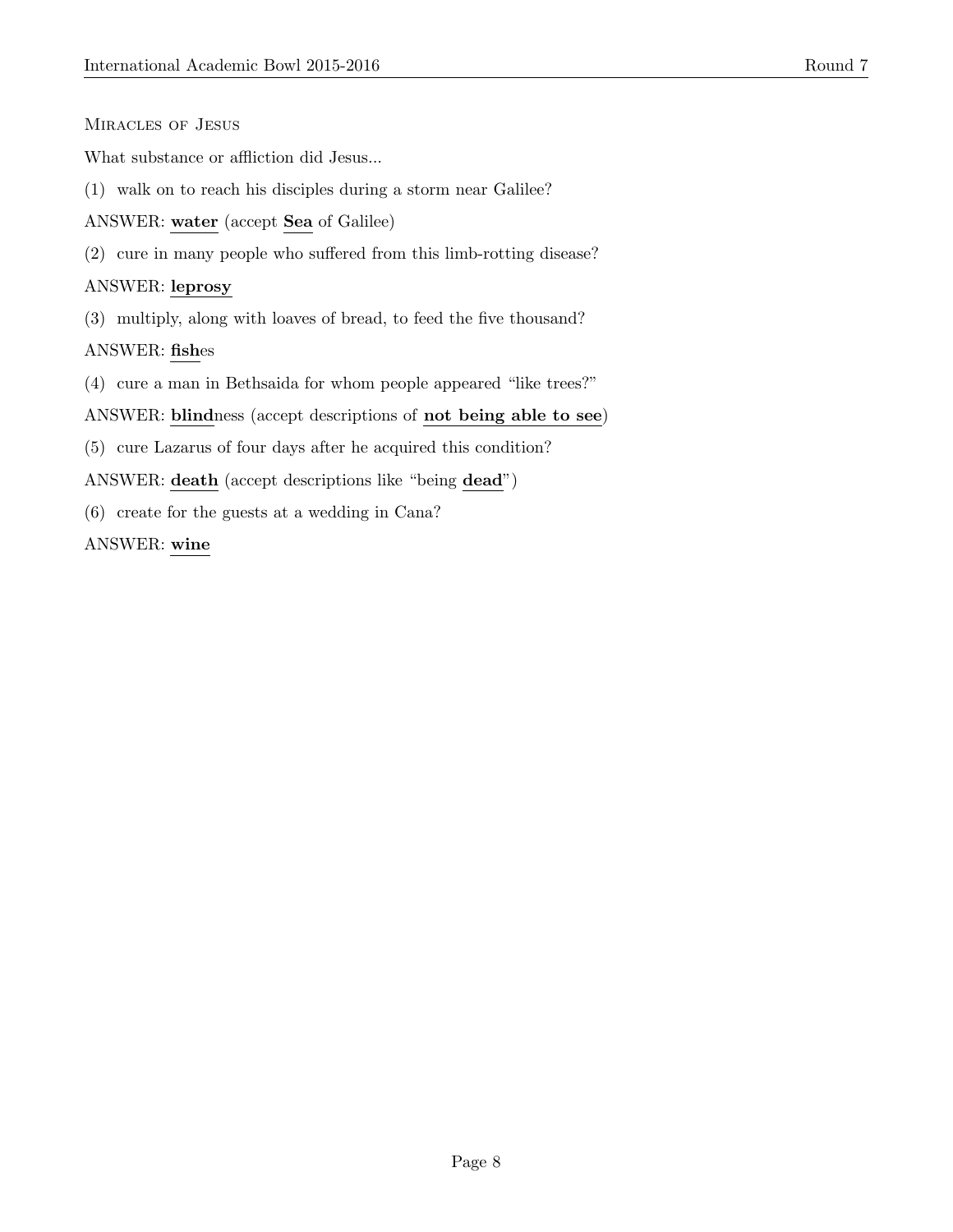#### Miracles of Jesus

What substance or affliction did Jesus...

(1) walk on to reach his disciples during a storm near Galilee?

ANSWER: water (accept Sea of Galilee)

(2) cure in many people who suffered from this limb-rotting disease?

#### ANSWER: leprosy

(3) multiply, along with loaves of bread, to feed the five thousand?

ANSWER: fishes

(4) cure a man in Bethsaida for whom people appeared "like trees?"

ANSWER: blindness (accept descriptions of not being able to see)

(5) cure Lazarus of four days after he acquired this condition?

ANSWER: death (accept descriptions like "being dead")

(6) create for the guests at a wedding in Cana?

ANSWER: wine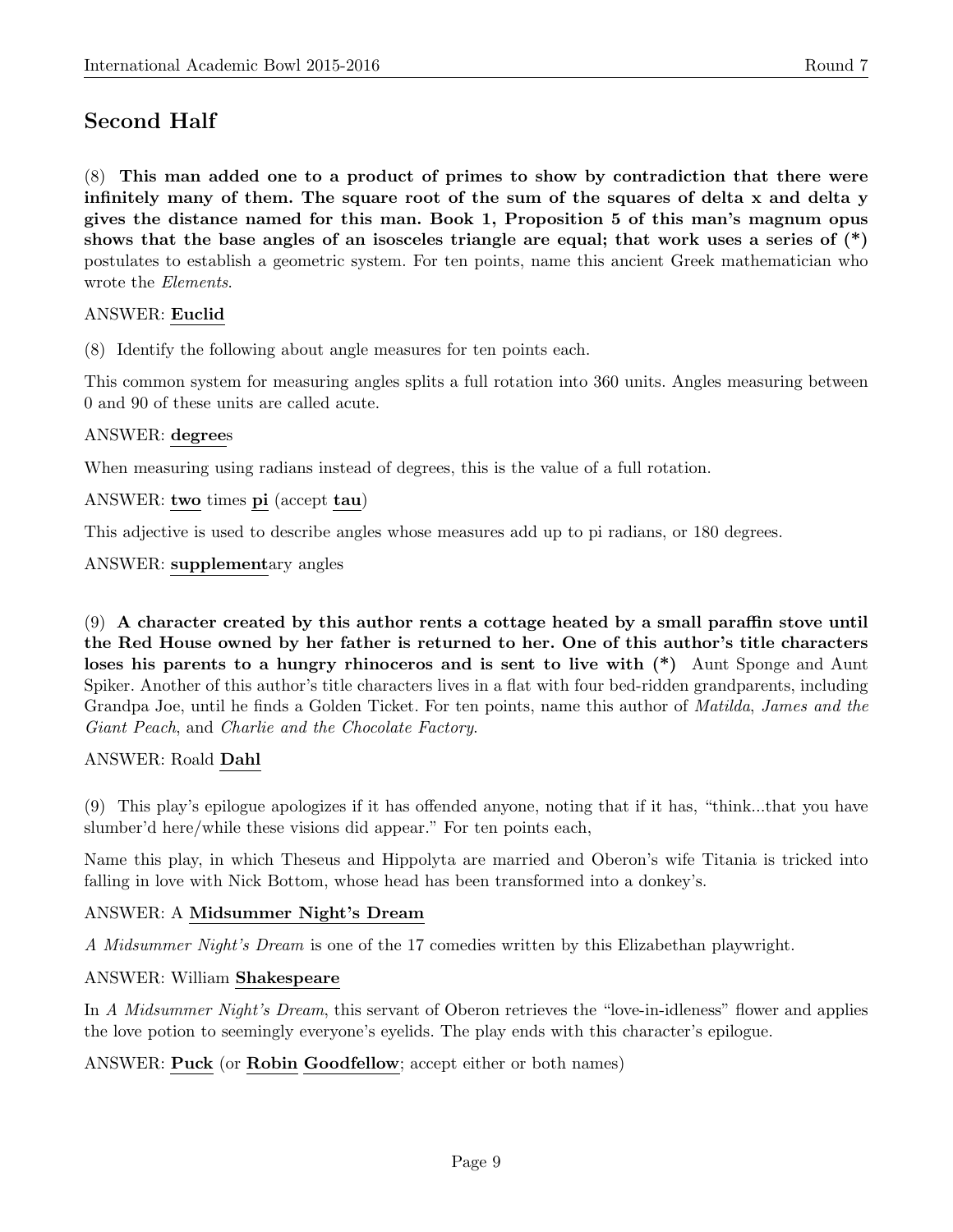# Second Half

(8) This man added one to a product of primes to show by contradiction that there were infinitely many of them. The square root of the sum of the squares of delta x and delta y gives the distance named for this man. Book 1, Proposition 5 of this man's magnum opus shows that the base angles of an isosceles triangle are equal; that work uses a series of  $(*)$ postulates to establish a geometric system. For ten points, name this ancient Greek mathematician who wrote the Elements.

# ANSWER: Euclid

(8) Identify the following about angle measures for ten points each.

This common system for measuring angles splits a full rotation into 360 units. Angles measuring between 0 and 90 of these units are called acute.

#### ANSWER: degrees

When measuring using radians instead of degrees, this is the value of a full rotation.

ANSWER: two times pi (accept tau)

This adjective is used to describe angles whose measures add up to pi radians, or 180 degrees.

#### ANSWER: supplementary angles

(9) A character created by this author rents a cottage heated by a small paraffin stove until the Red House owned by her father is returned to her. One of this author's title characters loses his parents to a hungry rhinoceros and is sent to live with (\*) Aunt Sponge and Aunt Spiker. Another of this author's title characters lives in a flat with four bed-ridden grandparents, including Grandpa Joe, until he finds a Golden Ticket. For ten points, name this author of Matilda, James and the Giant Peach, and Charlie and the Chocolate Factory.

#### ANSWER: Roald Dahl

(9) This play's epilogue apologizes if it has offended anyone, noting that if it has, "think...that you have slumber'd here/while these visions did appear." For ten points each,

Name this play, in which Theseus and Hippolyta are married and Oberon's wife Titania is tricked into falling in love with Nick Bottom, whose head has been transformed into a donkey's.

# ANSWER: A Midsummer Night's Dream

A Midsummer Night's Dream is one of the 17 comedies written by this Elizabethan playwright.

#### ANSWER: William Shakespeare

In A Midsummer Night's Dream, this servant of Oberon retrieves the "love-in-idleness" flower and applies the love potion to seemingly everyone's eyelids. The play ends with this character's epilogue.

#### ANSWER: Puck (or Robin Goodfellow; accept either or both names)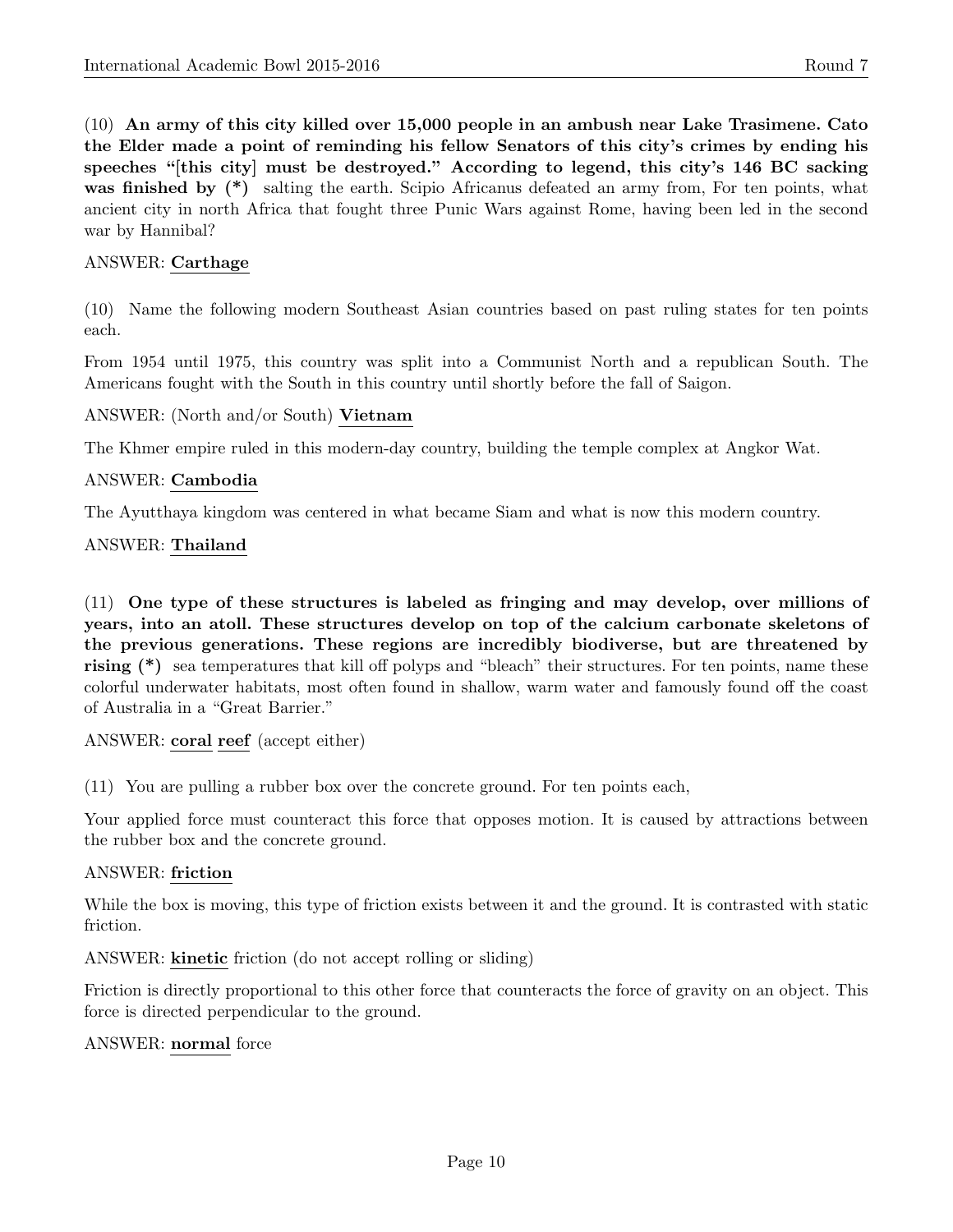(10) An army of this city killed over 15,000 people in an ambush near Lake Trasimene. Cato the Elder made a point of reminding his fellow Senators of this city's crimes by ending his speeches "[this city] must be destroyed." According to legend, this city's 146 BC sacking was finished by  $(*)$  salting the earth. Scipio Africanus defeated an army from, For ten points, what ancient city in north Africa that fought three Punic Wars against Rome, having been led in the second war by Hannibal?

#### ANSWER: Carthage

(10) Name the following modern Southeast Asian countries based on past ruling states for ten points each.

From 1954 until 1975, this country was split into a Communist North and a republican South. The Americans fought with the South in this country until shortly before the fall of Saigon.

#### ANSWER: (North and/or South) Vietnam

The Khmer empire ruled in this modern-day country, building the temple complex at Angkor Wat.

#### ANSWER: Cambodia

The Ayutthaya kingdom was centered in what became Siam and what is now this modern country.

#### ANSWER: Thailand

(11) One type of these structures is labeled as fringing and may develop, over millions of years, into an atoll. These structures develop on top of the calcium carbonate skeletons of the previous generations. These regions are incredibly biodiverse, but are threatened by rising (\*) sea temperatures that kill off polyps and "bleach" their structures. For ten points, name these colorful underwater habitats, most often found in shallow, warm water and famously found off the coast of Australia in a "Great Barrier."

ANSWER: coral reef (accept either)

(11) You are pulling a rubber box over the concrete ground. For ten points each,

Your applied force must counteract this force that opposes motion. It is caused by attractions between the rubber box and the concrete ground.

#### ANSWER: friction

While the box is moving, this type of friction exists between it and the ground. It is contrasted with static friction.

ANSWER: kinetic friction (do not accept rolling or sliding)

Friction is directly proportional to this other force that counteracts the force of gravity on an object. This force is directed perpendicular to the ground.

#### ANSWER: normal force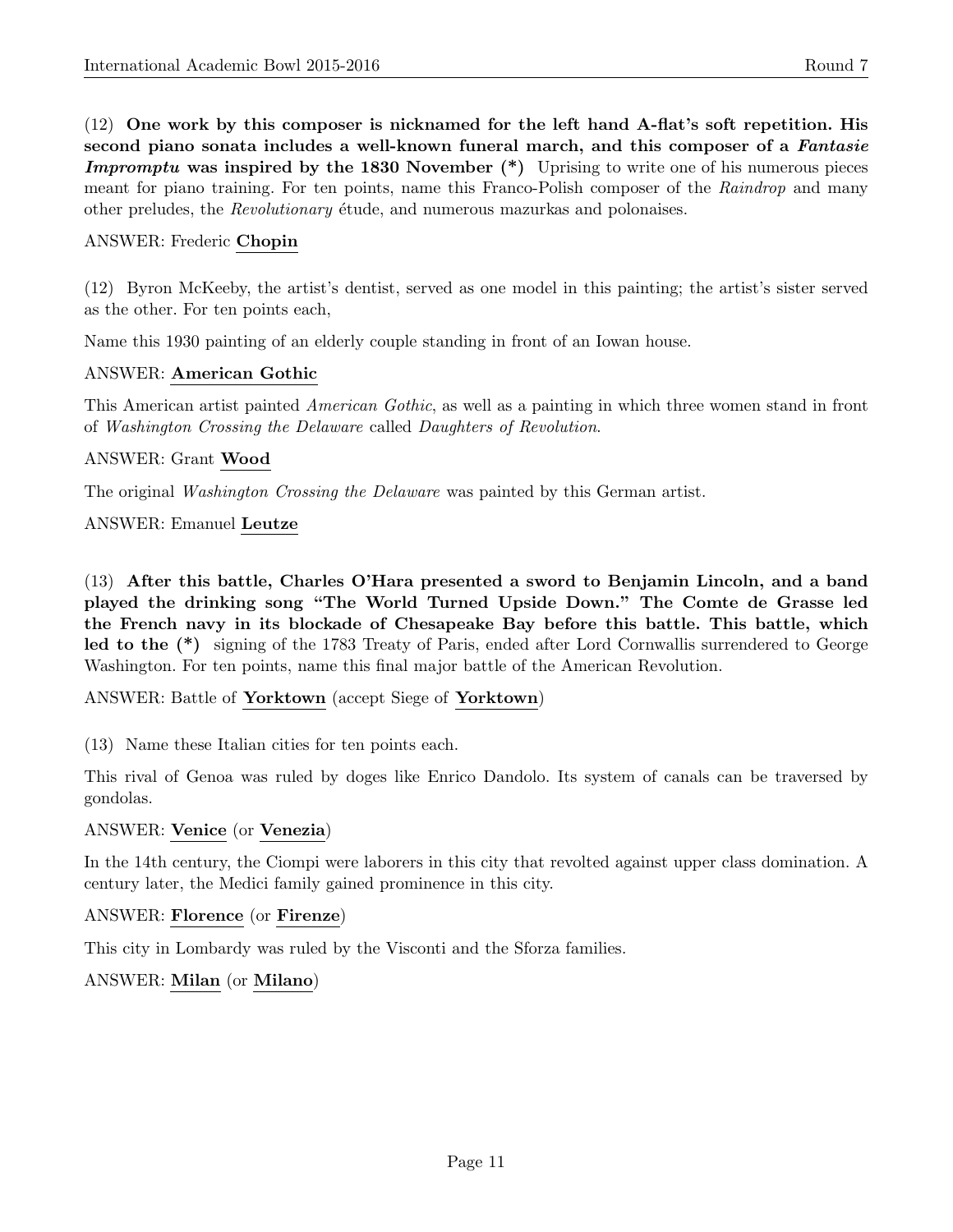(12) One work by this composer is nicknamed for the left hand A-flat's soft repetition. His second piano sonata includes a well-known funeral march, and this composer of a *Fantasie* **Impromptu was inspired by the 1830 November (\*)** Uprising to write one of his numerous pieces meant for piano training. For ten points, name this Franco-Polish composer of the Raindrop and many other preludes, the *Revolutionary* étude, and numerous mazurkas and polonaises.

#### ANSWER: Frederic Chopin

(12) Byron McKeeby, the artist's dentist, served as one model in this painting; the artist's sister served as the other. For ten points each,

Name this 1930 painting of an elderly couple standing in front of an Iowan house.

#### ANSWER: American Gothic

This American artist painted American Gothic, as well as a painting in which three women stand in front of Washington Crossing the Delaware called Daughters of Revolution.

#### ANSWER: Grant Wood

The original Washington Crossing the Delaware was painted by this German artist.

#### ANSWER: Emanuel Leutze

(13) After this battle, Charles O'Hara presented a sword to Benjamin Lincoln, and a band played the drinking song "The World Turned Upside Down." The Comte de Grasse led the French navy in its blockade of Chesapeake Bay before this battle. This battle, which led to the (\*) signing of the 1783 Treaty of Paris, ended after Lord Cornwallis surrendered to George Washington. For ten points, name this final major battle of the American Revolution.

ANSWER: Battle of Yorktown (accept Siege of Yorktown)

(13) Name these Italian cities for ten points each.

This rival of Genoa was ruled by doges like Enrico Dandolo. Its system of canals can be traversed by gondolas.

#### ANSWER: Venice (or Venezia)

In the 14th century, the Ciompi were laborers in this city that revolted against upper class domination. A century later, the Medici family gained prominence in this city.

# ANSWER: Florence (or Firenze)

This city in Lombardy was ruled by the Visconti and the Sforza families.

# ANSWER: Milan (or Milano)